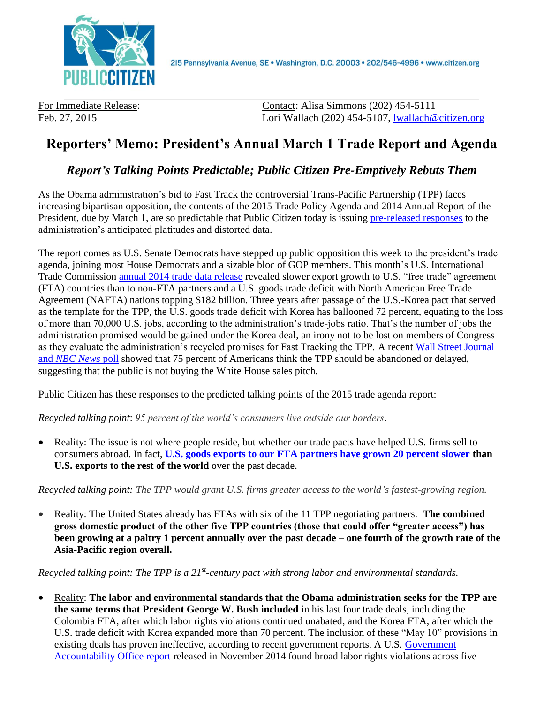

For Immediate Release: Contact: Alisa Simmons (202) 454-5111 Feb. 27, 2015 Lori Wallach (202) 454-5107, [lwallach@citizen.org](mailto:lwallach@citizen.org)

## **Reporters' Memo: President's Annual March 1 Trade Report and Agenda**

## *Report's Talking Points Predictable; Public Citizen Pre-Emptively Rebuts Them*

As the Obama administration's bid to Fast Track the controversial Trans-Pacific Partnership (TPP) faces increasing bipartisan opposition, the contents of the 2015 Trade Policy Agenda and 2014 Annual Report of the President, due by March 1, are so predictable that Public Citizen today is issuing [pre-released responses](http://citizen.typepad.com/eyesontrade/2015/02/forthcoming-tpp-sales-pitch-so-predictable-we-decided-to-predict-it.html) to the administration's anticipated platitudes and distorted data.

The report comes as U.S. Senate Democrats have stepped up public opposition this week to the president's trade agenda, joining most House Democrats and a sizable bloc of GOP members. This month's U.S. International Trade Commission [annual 2014 trade data release](http://citizen.org/2014-trade-data) revealed slower export growth to U.S. "free trade" agreement (FTA) countries than to non-FTA partners and a U.S. goods trade deficit with North American Free Trade Agreement (NAFTA) nations topping \$182 billion. Three years after passage of the U.S.-Korea pact that served as the template for the TPP, the U.S. goods trade deficit with Korea has ballooned 72 percent, equating to the loss of more than 70,000 U.S. jobs, according to the administration's trade-jobs ratio. That's the number of jobs the administration promised would be gained under the Korea deal, an irony not to be lost on members of Congress as they evaluate the administration's recycled promises for Fast Tracking the TPP. A recent [Wall Street Journal](http://blogs.wsj.com/washwire/2015/01/21/poll-finds-agenda-gap-between-leaders-american-people/) and *[NBC News](http://blogs.wsj.com/washwire/2015/01/21/poll-finds-agenda-gap-between-leaders-american-people/)* poll showed that 75 percent of Americans think the TPP should be abandoned or delayed, suggesting that the public is not buying the White House sales pitch.

Public Citizen has these responses to the predicted talking points of the 2015 trade agenda report:

*Recycled talking point*: *95 percent of the world's consumers live outside our borders.*

• Reality: The issue is not where people reside, but whether our trade pacts have helped U.S. firms sell to consumers abroad. In fact, **[U.S. goods exports to our FTA partners have grown 20 percent slower](http://citizen.typepad.com/eyesontrade/2015/02/exports-lag-20-trade-deficits-surge-427-under-free-trade-deals.html) than U.S. exports to the rest of the world** over the past decade.

*Recycled talking point: The TPP would grant U.S. firms greater access to the world's fastest-growing region.*

 Reality: The United States already has FTAs with six of the 11 TPP negotiating partners. **The combined gross domestic product of the other five TPP countries (those that could offer "greater access") has been growing at a paltry 1 percent annually over the past decade – one fourth of the growth rate of the Asia-Pacific region overall.**

*Recycled talking point: The TPP is a 21st -century pact with strong labor and environmental standards.*

 Reality: **The labor and environmental standards that the Obama administration seeks for the TPP are the same terms that President George W. Bush included** in his last four trade deals, including the Colombia FTA, after which labor rights violations continued unabated, and the Korea FTA, after which the U.S. trade deficit with Korea expanded more than 70 percent. The inclusion of these "May 10" provisions in existing deals has proven ineffective, according to recent government reports. A U.S. [Government](http://www.gao.gov/assets/670/666787.pdf)  [Accountability Office report](http://www.gao.gov/assets/670/666787.pdf) released in November 2014 found broad labor rights violations across five